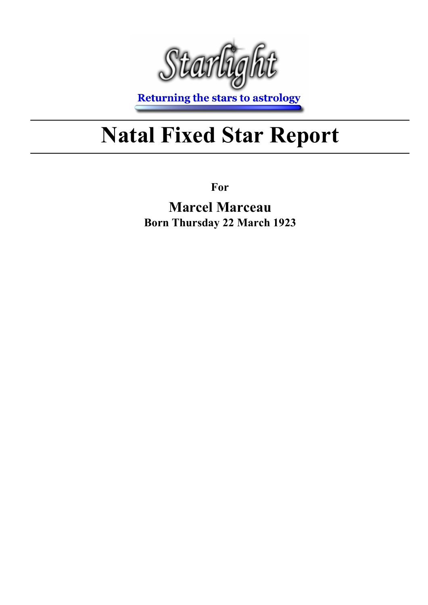

**Returning the stars to astrology** 

## Natal Fixed Star Report

For

Marcel Marceau Born Thursday 22 March 1923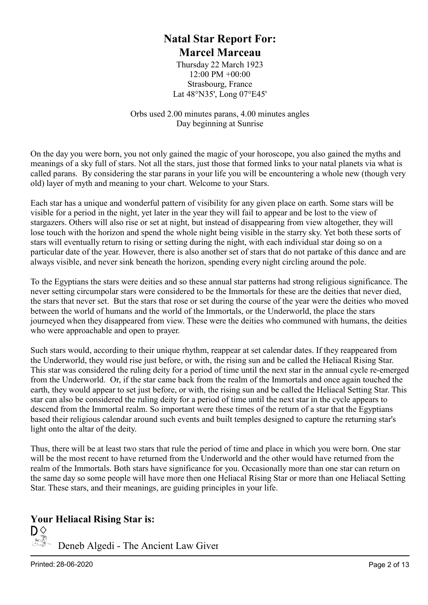#### Natal Star Report For: Marcel Marceau

Thursday 22 March 1923 12:00 PM +00:00 Strasbourg, France Lat 48°N35', Long 07°E45'

Orbs used 2.00 minutes parans, 4.00 minutes angles Day beginning at Sunrise

On the day you were born, you not only gained the magic of your horoscope, you also gained the myths and meanings of a sky full of stars. Not all the stars, just those that formed links to your natal planets via what is called parans. By considering the star parans in your life you will be encountering a whole new (though very old) layer of myth and meaning to your chart. Welcome to your Stars.

Each star has a unique and wonderful pattern of visibility for any given place on earth. Some stars will be visible for a period in the night, yet later in the year they will fail to appear and be lost to the view of stargazers. Others will also rise or set at night, but instead of disappearing from view altogether, they will lose touch with the horizon and spend the whole night being visible in the starry sky. Yet both these sorts of stars will eventually return to rising or setting during the night, with each individual star doing so on a particular date of the year. However, there is also another set of stars that do not partake of this dance and are always visible, and never sink beneath the horizon, spending every night circling around the pole.

To the Egyptians the stars were deities and so these annual star patterns had strong religious significance. The never setting circumpolar stars were considered to be the Immortals for these are the deities that never died, the stars that never set. But the stars that rose or set during the course of the year were the deities who moved between the world of humans and the world of the Immortals, or the Underworld, the place the stars journeyed when they disappeared from view. These were the deities who communed with humans, the deities who were approachable and open to prayer.

Such stars would, according to their unique rhythm, reappear at set calendar dates. If they reappeared from the Underworld, they would rise just before, or with, the rising sun and be called the Heliacal Rising Star. This star was considered the ruling deity for a period of time until the next star in the annual cycle re-emerged from the Underworld. Or, if the star came back from the realm of the Immortals and once again touched the earth, they would appear to set just before, or with, the rising sun and be called the Heliacal Setting Star. This star can also be considered the ruling deity for a period of time until the next star in the cycle appears to descend from the Immortal realm. So important were these times of the return of a star that the Egyptians based their religious calendar around such events and built temples designed to capture the returning star's light onto the altar of the deity.

Thus, there will be at least two stars that rule the period of time and place in which you were born. One star will be the most recent to have returned from the Underworld and the other would have returned from the realm of the Immortals. Both stars have significance for you. Occasionally more than one star can return on the same day so some people will have more then one Heliacal Rising Star or more than one Heliacal Setting Star. These stars, and their meanings, are guiding principles in your life.

#### Your Heliacal Rising Star is:

 $\mathsf{D}_{\infty}^{\diamondsuit}$  Deneb Algedi - The Ancient Law Giver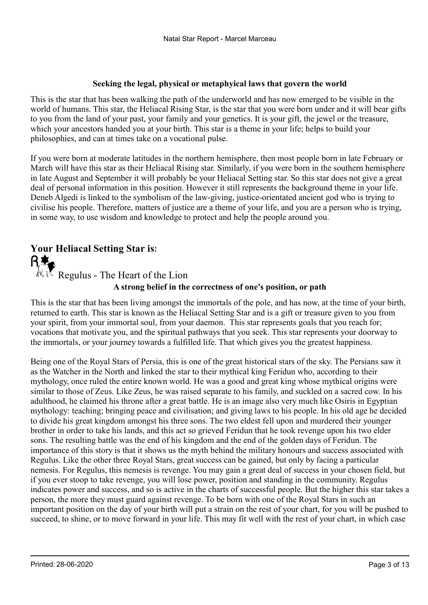#### Seeking the legal, physical or metaphyical laws that govern the world

This is the star that has been walking the path of the underworld and has now emerged to be visible in the world of humans. This star, the Heliacal Rising Star, is the star that you were born under and it will bear gifts to you from the land of your past, your family and your genetics. It is your gift, the jewel or the treasure, which your ancestors handed you at your birth. This star is a theme in your life; helps to build your philosophies, and can at times take on a vocational pulse.

If you were born at moderate latitudes in the northern hemisphere, then most people born in late February or March will have this star as their Heliacal Rising star. Similarly, if you were born in the southern hemisphere in late August and September it will probably be your Heliacal Setting star. So this star does not give a great deal of personal information in this position. However it still represents the background theme in your life. Deneb Algedi is linked to the symbolism of the law-giving, justice-orientated ancient god who is trying to civilise his people. Therefore, matters of justice are a theme of your life, and you are a person who is trying, in some way, to use wisdom and knowledge to protect and help the people around you.

### Your Heliacal Setting Star is:

A strong belief in the correctness of one's position, or path  $\mathbb{R} \setminus \mathbb{R}$  Regulus - The Heart of the Lion

This is the star that has been living amongst the immortals of the pole, and has now, at the time of your birth, returned to earth. This star is known as the Heliacal Setting Star and is a gift or treasure given to you from your spirit, from your immortal soul, from your daemon. This star represents goals that you reach for; vocations that motivate you, and the spiritual pathways that you seek. This star represents your doorway to the immortals, or your journey towards a fulfilled life. That which gives you the greatest happiness.

Being one of the Royal Stars of Persia, this is one of the great historical stars of the sky. The Persians saw it as the Watcher in the North and linked the star to their mythical king Feridun who, according to their mythology, once ruled the entire known world. He was a good and great king whose mythical origins were similar to those of Zeus. Like Zeus, he was raised separate to his family, and suckled on a sacred cow. In his adulthood, he claimed his throne after a great battle. He is an image also very much like Osiris in Egyptian mythology: teaching; bringing peace and civilisation; and giving laws to his people. In his old age he decided to divide his great kingdom amongst his three sons. The two eldest fell upon and murdered their younger brother in order to take his lands, and this act so grieved Feridun that he took revenge upon his two elder sons. The resulting battle was the end of his kingdom and the end of the golden days of Feridun. The importance of this story is that it shows us the myth behind the military honours and success associated with Regulus. Like the other three Royal Stars, great success can be gained, but only by facing a particular nemesis. For Regulus, this nemesis is revenge. You may gain a great deal of success in your chosen field, but if you ever stoop to take revenge, you will lose power, position and standing in the community. Regulus indicates power and success, and so is active in the charts of successful people. But the higher this star takes a person, the more they must guard against revenge. To be born with one of the Royal Stars in such an important position on the day of your birth will put a strain on the rest of your chart, for you will be pushed to succeed, to shine, or to move forward in your life. This may fit well with the rest of your chart, in which case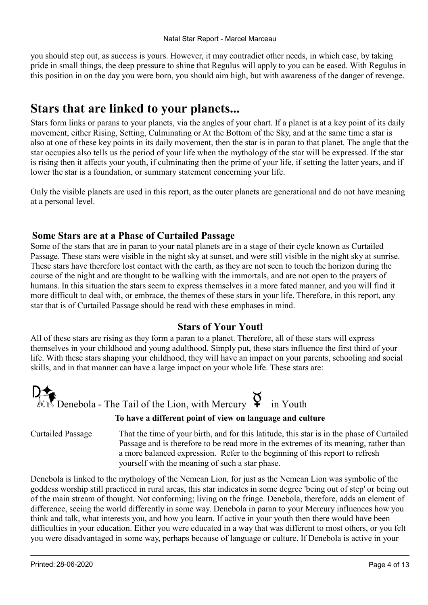you should step out, as success is yours. However, it may contradict other needs, in which case, by taking pride in small things, the deep pressure to shine that Regulus will apply to you can be eased. With Regulus in this position in on the day you were born, you should aim high, but with awareness of the danger of revenge.

#### Stars that are linked to your planets...

Stars form links or parans to your planets, via the angles of your chart. If a planet is at a key point of its daily movement, either Rising, Setting, Culminating or At the Bottom of the Sky, and at the same time a star is also at one of these key points in its daily movement, then the star is in paran to that planet. The angle that the star occupies also tells us the period of your life when the mythology of the star will be expressed. If the star is rising then it affects your youth, if culminating then the prime of your life, if setting the latter years, and if lower the star is a foundation, or summary statement concerning your life.

Only the visible planets are used in this report, as the outer planets are generational and do not have meaning at a personal level.

#### Some Stars are at a Phase of Curtailed Passage

Some of the stars that are in paran to your natal planets are in a stage of their cycle known as Curtailed Passage. These stars were visible in the night sky at sunset, and were still visible in the night sky at sunrise. These stars have therefore lost contact with the earth, as they are not seen to touch the horizon during the course of the night and are thought to be walking with the immortals, and are not open to the prayers of humans. In this situation the stars seem to express themselves in a more fated manner, and you will find it more difficult to deal with, or embrace, the themes of these stars in your life. Therefore, in this report, any star that is of Curtailed Passage should be read with these emphases in mind.

#### Stars of Your Youth

All of these stars are rising as they form a paran to a planet. Therefore, all of these stars will express themselves in your childhood and young adulthood. Simply put, these stars influence the first third of your life. With these stars shaping your childhood, they will have an impact on your parents, schooling and social skills, and in that manner can have a large impact on your whole life. These stars are:



That the time of your birth, and for this latitude, this star is in the phase of Curtailed Passage and is therefore to be read more in the extremes of its meaning, rather than a more balanced expression. Refer to the beginning of this report to refresh yourself with the meaning of such a star phase.

Denebola is linked to the mythology of the Nemean Lion, for just as the Nemean Lion was symbolic of the goddess worship still practiced in rural areas, this star indicates in some degree 'being out of step' or being out of the main stream of thought. Not conforming; living on the fringe. Denebola, therefore, adds an element of difference, seeing the world differently in some way. Denebola in paran to your Mercury influences how you think and talk, what interests you, and how you learn. If active in your youth then there would have been difficulties in your education. Either you were educated in a way that was different to most others, or you felt you were disadvantaged in some way, perhaps because of language or culture. If Denebola is active in your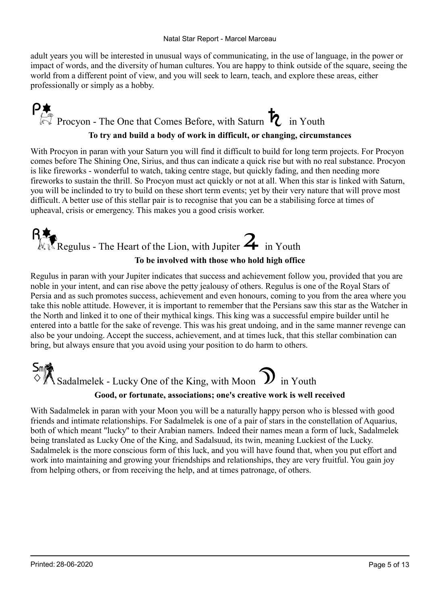adult years you will be interested in unusual ways of communicating, in the use of language, in the power or impact of words, and the diversity of human cultures. You are happy to think outside of the square, seeing the world from a different point of view, and you will seek to learn, teach, and explore these areas, either professionally or simply as a hobby.

### P<br> $P_{\ell}$ <br>Procyon - The One that Comes Before, with Saturn  $\ell$  in Youth To try and build a body of work in difficult, or changing, circumstances

With Procyon in paran with your Saturn you will find it difficult to build for long term projects. For Procyon comes before The Shining One, Sirius, and thus can indicate a quick rise but with no real substance. Procyon is like fireworks - wonderful to watch, taking centre stage, but quickly fading, and then needing more fireworks to sustain the thrill. So Procyon must act quickly or not at all. When this star is linked with Saturn, you will be inclinded to try to build on these short term events; yet by their very nature that will prove most difficult. A better use of this stellar pair is to recognise that you can be a stabilising force at times of upheaval, crisis or emergency. This makes you a good crisis worker.

### $\mathbb{R}$ Regulus - The Heart of the Lion, with Jupiter  $\mathbb{Z}$  in Youth To be involved with those who hold high office

Regulus in paran with your Jupiter indicates that success and achievement follow you, provided that you are noble in your intent, and can rise above the petty jealousy of others. Regulus is one of the Royal Stars of Persia and as such promotes success, achievement and even honours, coming to you from the area where you take this noble attitude. However, it is important to remember that the Persians saw this star as the Watcher in the North and linked it to one of their mythical kings. This king was a successful empire builder until he entered into a battle for the sake of revenge. This was his great undoing, and in the same manner revenge can also be your undoing. Accept the success, achievement, and at times luck, that this stellar combination can bring, but always ensure that you avoid using your position to do harm to others.



#### Good, or fortunate, associations; one's creative work is well received

With Sadalmelek in paran with your Moon you will be a naturally happy person who is blessed with good friends and intimate relationships. For Sadalmelek is one of a pair of stars in the constellation of Aquarius, both of which meant "lucky" to their Arabian namers. Indeed their names mean a form of luck, Sadalmelek being translated as Lucky One of the King, and Sadalsuud, its twin, meaning Luckiest of the Lucky. Sadalmelek is the more conscious form of this luck, and you will have found that, when you put effort and work into maintaining and growing your friendships and relationships, they are very fruitful. You gain joy from helping others, or from receiving the help, and at times patronage, of others.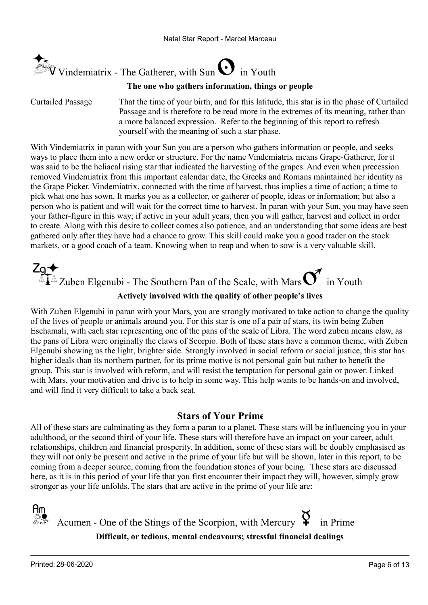

#### The one who gathers information, things or people

Curtailed Passage

That the time of your birth, and for this latitude, this star is in the phase of Curtailed Passage and is therefore to be read more in the extremes of its meaning, rather than a more balanced expression. Refer to the beginning of this report to refresh yourself with the meaning of such a star phase.

With Vindemiatrix in paran with your Sun you are a person who gathers information or people, and seeks ways to place them into a new order or structure. For the name Vindemiatrix means Grape-Gatherer, for it was said to be the heliacal rising star that indicated the harvesting of the grapes. And even when precession removed Vindemiatrix from this important calendar date, the Greeks and Romans maintained her identity as the Grape Picker. Vindemiatrix, connected with the time of harvest, thus implies a time of action; a time to pick what one has sown. It marks you as a collector, or gatherer of people, ideas or information; but also a person who is patient and will wait for the correct time to harvest. In paran with your Sun, you may have seen your father-figure in this way; if active in your adult years, then you will gather, harvest and collect in order to create. Along with this desire to collect comes also patience, and an understanding that some ideas are best gathered only after they have had a chance to grow. This skill could make you a good trader on the stock markets, or a good coach of a team. Knowing when to reap and when to sow is a very valuable skill.

 $\text{Zg}$   $\blacklozenge$ <br> $\text{Zg}$   $\blacklozenge$  Zuben Elgenubi - The Southern Pan of the Scale, with Mars  $\text{C}$  in Youth Actively involved with the quality of other people's lives

With Zuben Elgenubi in paran with your Mars, you are strongly motivated to take action to change the quality of the lives of people or animals around you. For this star is one of a pair of stars, its twin being Zuben Eschamali, with each star representing one of the pans of the scale of Libra. The word zuben means claw, as the pans of Libra were originally the claws of Scorpio. Both of these stars have a common theme, with Zuben Elgenubi showing us the light, brighter side. Strongly involved in social reform or social justice, this star has higher ideals than its northern partner, for its prime motive is not personal gain but rather to benefit the group. This star is involved with reform, and will resist the temptation for personal gain or power. Linked with Mars, your motivation and drive is to help in some way. This help wants to be hands-on and involved, and will find it very difficult to take a back seat.

#### Stars of Your Prime

All of these stars are culminating as they form a paran to a planet. These stars will be influencing you in your adulthood, or the second third of your life. These stars will therefore have an impact on your career, adult relationships, children and financial prosperity. In addition, some of these stars will be doubly emphasised as they will not only be present and active in the prime of your life but will be shown, later in this report, to be coming from a deeper source, coming from the foundation stones of your being. These stars are discussed here, as it is in this period of your life that you first encounter their impact they will, however, simply grow stronger as your life unfolds. The stars that are active in the prime of your life are:

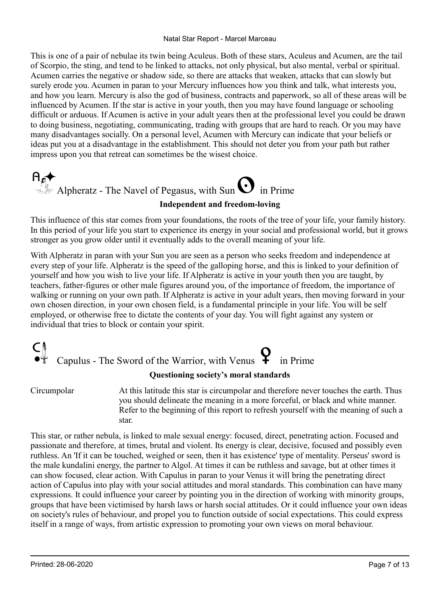Natal Star Report - Marcel Marceau

This is one of a pair of nebulae its twin being Aculeus. Both of these stars, Aculeus and Acumen, are the tail of Scorpio, the sting, and tend to be linked to attacks, not only physical, but also mental, verbal or spiritual. Acumen carries the negative or shadow side, so there are attacks that weaken, attacks that can slowly but surely erode you. Acumen in paran to your Mercury influences how you think and talk, what interests you, and how you learn. Mercury is also the god of business, contracts and paperwork, so all of these areas will be influenced by Acumen. If the star is active in your youth, then you may have found language or schooling difficult or arduous. If Acumen is active in your adult years then at the professional level you could be drawn to doing business, negotiating, communicating, trading with groups that are hard to reach. Or you may have many disadvantages socially. On a personal level, Acumen with Mercury can indicate that your beliefs or ideas put you at a disadvantage in the establishment. This should not deter you from your path but rather impress upon you that retreat can sometimes be the wisest choice.

## $A_{\ell}$  Alpheratz - The Navel of Pegasus, with Sun  $\Omega$  in Prime Independent and freedom-loving

This influence of this star comes from your foundations, the roots of the tree of your life, your family history. In this period of your life you start to experience its energy in your social and professional world, but it grows stronger as you grow older until it eventually adds to the overall meaning of your life.

With Alpheratz in paran with your Sun you are seen as a person who seeks freedom and independence at every step of your life. Alpheratz is the speed of the galloping horse, and this is linked to your definition of yourself and how you wish to live your life. If Alpheratz is active in your youth then you are taught, by teachers, father-figures or other male figures around you, of the importance of freedom, the importance of walking or running on your own path. If Alpheratz is active in your adult years, then moving forward in your own chosen direction, in your own chosen field, is a fundamental principle in your life. You will be self employed, or otherwise free to dictate the contents of your day. You will fight against any system or individual that tries to block or contain your spirit.

## Capulus - The Sword of the Warrior, with Venus  $\mathbf{\Omega}$  in Prime

#### Questioning society's moral standards

Circumpolar

At this latitude this star is circumpolar and therefore never touches the earth. Thus you should delineate the meaning in a more forceful, or black and white manner. Refer to the beginning of this report to refresh yourself with the meaning of such a star.

This star, or rather nebula, is linked to male sexual energy: focused, direct, penetrating action. Focused and passionate and therefore, at times, brutal and violent. Its energy is clear, decisive, focused and possibly even ruthless. An 'If it can be touched, weighed or seen, then it has existence' type of mentality. Perseus' sword is the male kundalini energy, the partner to Algol. At times it can be ruthless and savage, but at other times it can show focused, clear action. With Capulus in paran to your Venus it will bring the penetrating direct action of Capulus into play with your social attitudes and moral standards. This combination can have many expressions. It could influence your career by pointing you in the direction of working with minority groups, groups that have been victimised by harsh laws or harsh social attitudes. Or it could influence your own ideas on society's rules of behaviour, and propel you to function outside of social expectations. This could express itself in a range of ways, from artistic expression to promoting your own views on moral behaviour.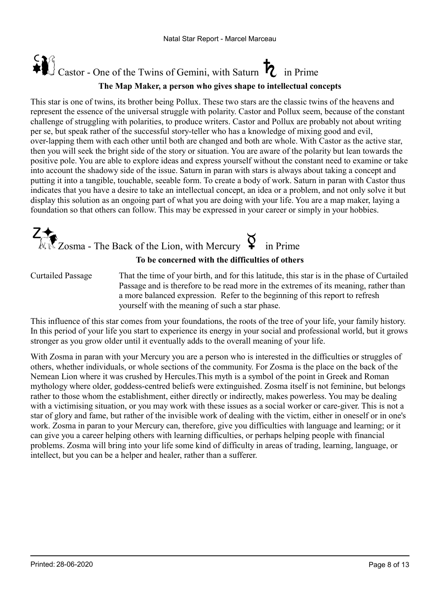### Castor - One of the Twins of Gemini, with Saturn  $\boldsymbol{h}$  in Prime The Map Maker, a person who gives shape to intellectual concepts

This star is one of twins, its brother being Pollux. These two stars are the classic twins of the heavens and represent the essence of the universal struggle with polarity. Castor and Pollux seem, because of the constant challenge of struggling with polarities, to produce writers. Castor and Pollux are probably not about writing per se, but speak rather of the successful story-teller who has a knowledge of mixing good and evil, over-lapping them with each other until both are changed and both are whole. With Castor as the active star, then you will seek the bright side of the story or situation. You are aware of the polarity but lean towards the positive pole. You are able to explore ideas and express yourself without the constant need to examine or take into account the shadowy side of the issue. Saturn in paran with stars is always about taking a concept and putting it into a tangible, touchable, seeable form. To create a body of work. Saturn in paran with Castor thus indicates that you have a desire to take an intellectual concept, an idea or a problem, and not only solve it but display this solution as an ongoing part of what you are doing with your life. You are a map maker, laying a foundation so that others can follow. This may be expressed in your career or simply in your hobbies.

## $\widehat{\mathbb{Z}}$ Zosma - The Back of the Lion, with Mercury  $\Im$

#### To be concerned with the difficulties of others

Curtailed Passage

That the time of your birth, and for this latitude, this star is in the phase of Curtailed Passage and is therefore to be read more in the extremes of its meaning, rather than a more balanced expression. Refer to the beginning of this report to refresh yourself with the meaning of such a star phase.

This influence of this star comes from your foundations, the roots of the tree of your life, your family history. In this period of your life you start to experience its energy in your social and professional world, but it grows stronger as you grow older until it eventually adds to the overall meaning of your life.

With Zosma in paran with your Mercury you are a person who is interested in the difficulties or struggles of others, whether individuals, or whole sections of the community. For Zosma is the place on the back of the Nemean Lion where it was crushed by Hercules.This myth is a symbol of the point in Greek and Roman mythology where older, goddess-centred beliefs were extinguished. Zosma itself is not feminine, but belongs rather to those whom the establishment, either directly or indirectly, makes powerless. You may be dealing with a victimising situation, or you may work with these issues as a social worker or care-giver. This is not a star of glory and fame, but rather of the invisible work of dealing with the victim, either in oneself or in one's work. Zosma in paran to your Mercury can, therefore, give you difficulties with language and learning; or it can give you a career helping others with learning difficulties, or perhaps helping people with financial problems. Zosma will bring into your life some kind of difficulty in areas of trading, learning, language, or intellect, but you can be a helper and healer, rather than a sufferer.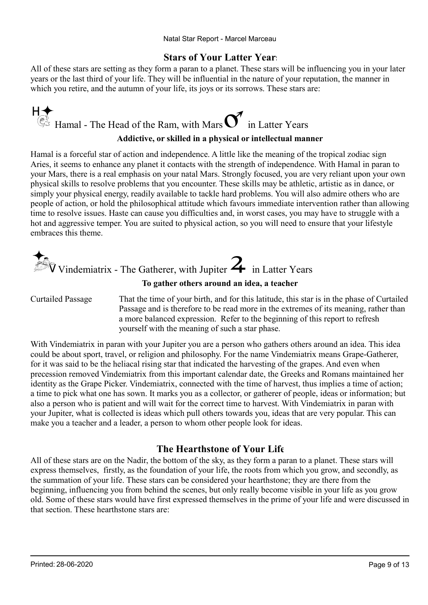#### Stars of Your Latter Years

All of these stars are setting as they form a paran to a planet. These stars will be influencing you in your later years or the last third of your life. They will be influential in the nature of your reputation, the manner in which you retire, and the autumn of your life, its joys or its sorrows. These stars are:

## $H \leftarrow$ <br>Ex Hamal - The Head of the Ram, with Mars  $\sigma$  in Latter Years Addictive, or skilled in a physical or intellectual manner

Hamal is a forceful star of action and independence. A little like the meaning of the tropical zodiac sign Aries, it seems to enhance any planet it contacts with the strength of independence. With Hamal in paran to your Mars, there is a real emphasis on your natal Mars. Strongly focused, you are very reliant upon your own physical skills to resolve problems that you encounter. These skills may be athletic, artistic as in dance, or simply your physical energy, readily available to tackle hard problems. You will also admire others who are people of action, or hold the philosophical attitude which favours immediate intervention rather than allowing time to resolve issues. Haste can cause you difficulties and, in worst cases, you may have to struggle with a hot and aggressive temper. You are suited to physical action, so you will need to ensure that your lifestyle embraces this theme.



#### To gather others around an idea, a teacher

That the time of your birth, and for this latitude, this star is in the phase of Curtailed Passage and is therefore to be read more in the extremes of its meaning, rather than a more balanced expression. Refer to the beginning of this report to refresh yourself with the meaning of such a star phase. Curtailed Passage

With Vindemiatrix in paran with your Jupiter you are a person who gathers others around an idea. This idea could be about sport, travel, or religion and philosophy. For the name Vindemiatrix means Grape-Gatherer, for it was said to be the heliacal rising star that indicated the harvesting of the grapes. And even when precession removed Vindemiatrix from this important calendar date, the Greeks and Romans maintained her identity as the Grape Picker. Vindemiatrix, connected with the time of harvest, thus implies a time of action; a time to pick what one has sown. It marks you as a collector, or gatherer of people, ideas or information; but also a person who is patient and will wait for the correct time to harvest. With Vindemiatrix in paran with your Jupiter, what is collected is ideas which pull others towards you, ideas that are very popular. This can make you a teacher and a leader, a person to whom other people look for ideas.

#### The Hearthstone of Your Life

All of these stars are on the Nadir, the bottom of the sky, as they form a paran to a planet. These stars will express themselves, firstly, as the foundation of your life, the roots from which you grow, and secondly, as the summation of your life. These stars can be considered your hearthstone; they are there from the beginning, influencing you from behind the scenes, but only really become visible in your life as you grow old. Some of these stars would have first expressed themselves in the prime of your life and were discussed in that section. These hearthstone stars are: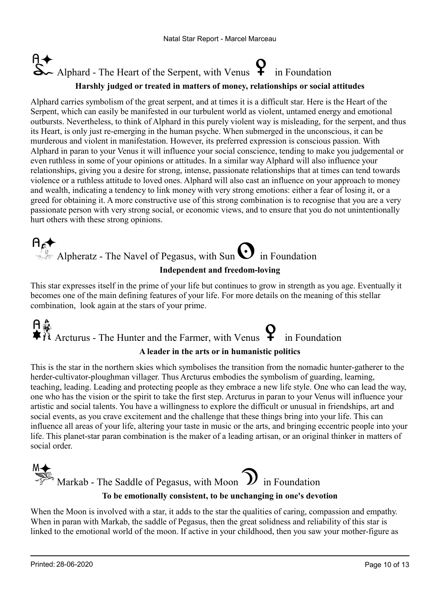## $\sim$  Alphard - The Heart of the Serpent, with Venus  $\bigoplus$  in Foundation Harshly judged or treated in matters of money, relationships or social attitudes

Alphard carries symbolism of the great serpent, and at times it is a difficult star. Here is the Heart of the Serpent, which can easily be manifested in our turbulent world as violent, untamed energy and emotional outbursts. Nevertheless, to think of Alphard in this purely violent way is misleading, for the serpent, and thus its Heart, is only just re-emerging in the human psyche. When submerged in the unconscious, it can be murderous and violent in manifestation. However, its preferred expression is conscious passion. With Alphard in paran to your Venus it will influence your social conscience, tending to make you judgemental or even ruthless in some of your opinions or attitudes. In a similar way Alphard will also influence your relationships, giving you a desire for strong, intense, passionate relationships that at times can tend towards violence or a ruthless attitude to loved ones. Alphard will also cast an influence on your approach to money and wealth, indicating a tendency to link money with very strong emotions: either a fear of losing it, or a greed for obtaining it. A more constructive use of this strong combination is to recognise that you are a very passionate person with very strong social, or economic views, and to ensure that you do not unintentionally hurt others with these strong opinions.

## Alpheratz - The Navel of Pegasus, with Sun  $\bigodot$  in Foundation

#### Independent and freedom-loving

This star expresses itself in the prime of your life but continues to grow in strength as you age. Eventually it becomes one of the main defining features of your life. For more details on the meaning of this stellar combination, look again at the stars of your prime.

# A  $\hat{A}$ <br>  $\hat{A}$  Arcturus - The Hunter and the Farmer, with Venus  $\bf{P}$  in Foundation

#### A leader in the arts or in humanistic politics

This is the star in the northern skies which symbolises the transition from the nomadic hunter-gatherer to the herder-cultivator-ploughman villager. Thus Arcturus embodies the symbolism of guarding, learning, teaching, leading. Leading and protecting people as they embrace a new life style. One who can lead the way, one who has the vision or the spirit to take the first step. Arcturus in paran to your Venus will influence your artistic and social talents. You have a willingness to explore the difficult or unusual in friendships, art and social events, as you crave excitement and the challenge that these things bring into your life. This can influence all areas of your life, altering your taste in music or the arts, and bringing eccentric people into your life. This planet-star paran combination is the maker of a leading artisan, or an original thinker in matters of social order.



When the Moon is involved with a star, it adds to the star the qualities of caring, compassion and empathy. When in paran with Markab, the saddle of Pegasus, then the great solidness and reliability of this star is linked to the emotional world of the moon. If active in your childhood, then you saw your mother-figure as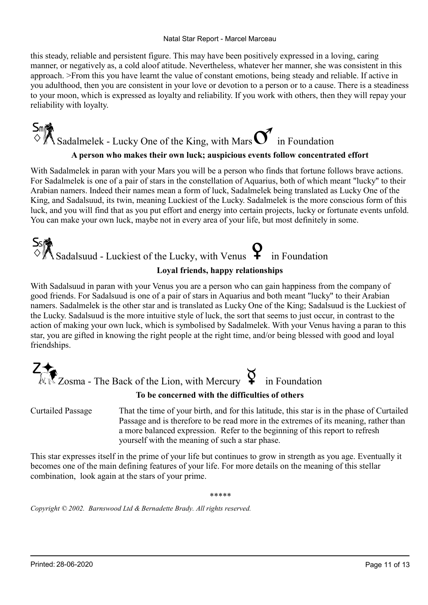#### Natal Star Report - Marcel Marceau

this steady, reliable and persistent figure. This may have been positively expressed in a loving, caring manner, or negatively as, a cold aloof atitude. Nevertheless, whatever her manner, she was consistent in this approach. >From this you have learnt the value of constant emotions, being steady and reliable. If active in you adulthood, then you are consistent in your love or devotion to a person or to a cause. There is a steadiness to your moon, which is expressed as loyalty and reliability. If you work with others, then they will repay your reliability with loyalty.

## $\mathsf{S}_{\mathsf{m}}$  Sadalmelek - Lucky One of the King, with Mars  $\mathsf{S}_{\mathsf{m}}$  in Foundation A person who makes their own luck; auspicious events follow concentrated effort

With Sadalmelek in paran with your Mars you will be a person who finds that fortune follows brave actions. For Sadalmelek is one of a pair of stars in the constellation of Aquarius, both of which meant "lucky" to their Arabian namers. Indeed their names mean a form of luck, Sadalmelek being translated as Lucky One of the King, and Sadalsuud, its twin, meaning Luckiest of the Lucky. Sadalmelek is the more conscious form of this luck, and you will find that as you put effort and energy into certain projects, lucky or fortunate events unfold. You can make your own luck, maybe not in every area of your life, but most definitely in some.

## $S_{\text{S}}$ <br>  $\Diamond$  Sadalsuud - Luckiest of the Lucky, with Venus  $\bigcirc$  in Foundation

#### Loyal friends, happy relationships

With Sadalsuud in paran with your Venus you are a person who can gain happiness from the company of good friends. For Sadalsuud is one of a pair of stars in Aquarius and both meant "lucky" to their Arabian namers. Sadalmelek is the other star and is translated as Lucky One of the King; Sadalsuud is the Luckiest of the Lucky. Sadalsuud is the more intuitive style of luck, the sort that seems to just occur, in contrast to the action of making your own luck, which is symbolised by Sadalmelek. With your Venus having a paran to this star, you are gifted in knowing the right people at the right time, and/or being blessed with good and loyal friendships.



#### To be concerned with the difficulties of others

That the time of your birth, and for this latitude, this star is in the phase of Curtailed Passage and is therefore to be read more in the extremes of its meaning, rather than a more balanced expression. Refer to the beginning of this report to refresh yourself with the meaning of such a star phase. Curtailed Passage

This star expresses itself in the prime of your life but continues to grow in strength as you age. Eventually it becomes one of the main defining features of your life. For more details on the meaning of this stellar combination, look again at the stars of your prime.

\*\*\*\*\*

Copyright © 2002. Barnswood Ltd & Bernadette Brady. All rights reserved.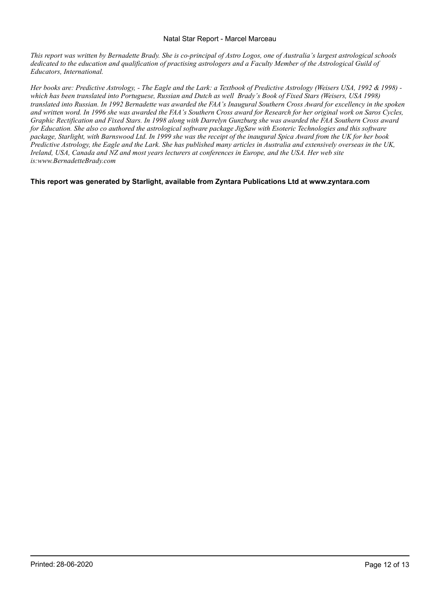#### Natal Star Report - Marcel Marceau

This report was written by Bernadette Brady. She is co-principal of Astro Logos, one of Australia's largest astrological schools dedicated to the education and qualification of practising astrologers and a Faculty Member of the Astrological Guild of Educators, International.

Her books are: Predictive Astrology, - The Eagle and the Lark: a Textbook of Predictive Astrology (Weisers USA, 1992 & 1998) which has been translated into Portuguese, Russian and Dutch as well Brady's Book of Fixed Stars (Weisers, USA 1998) translated into Russian. In 1992 Bernadette was awarded the FAA's Inaugural Southern Cross Award for excellency in the spoken and written word. In 1996 she was awarded the FAA's Southern Cross award for Research for her original work on Saros Cycles, Graphic Rectification and Fixed Stars. In 1998 along with Darrelyn Gunzburg she was awarded the FAA Southern Cross award for Education. She also co authored the astrological software package JigSaw with Esoteric Technologies and this software package, Starlight, with Barnswood Ltd. In 1999 she was the receipt of the inaugural Spica Award from the UK for her book Predictive Astrology, the Eagle and the Lark. She has published many articles in Australia and extensively overseas in the UK, Ireland, USA, Canada and NZ and most years lecturers at conferences in Europe, and the USA. Her web site is:www.BernadetteBrady.com

This report was generated by Starlight, available from Zyntara Publications Ltd at www.zyntara.com